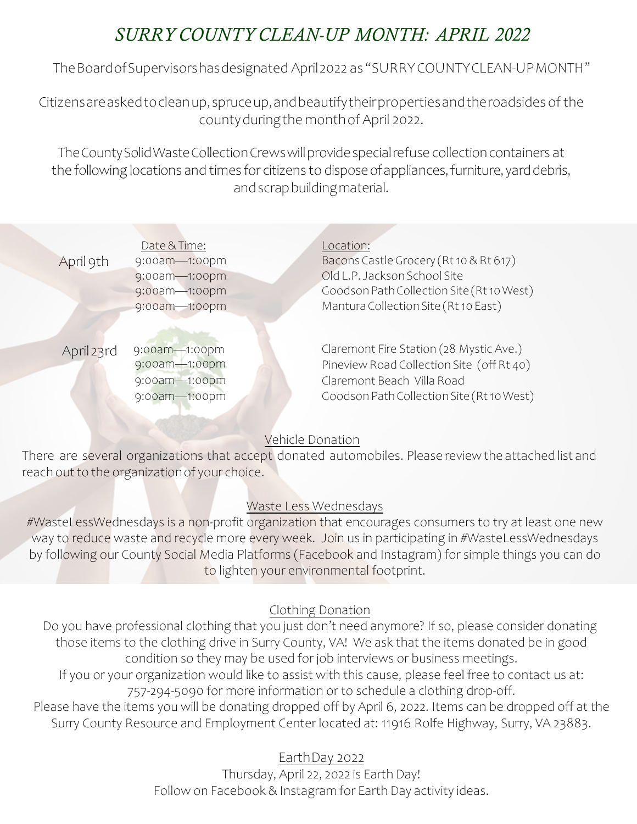# *SURRY COUNTY CLEAN-UP MONTH: APRIL 2022*

TheBoardofSupervisorshasdesignated April2022 as"SURRY COUNTYCLEAN-UP MONTH"

Citizensareaskedtocleanup,spruceup,andbeautifytheirpropertiesandtheroadsidesof the countyduringthe monthof April 2022.

The County Solid Waste Collection Crews will provide special refuse collection containers at the following locations and times for citizens to dispose of appliances, furniture, yard debris, andscrapbuildingmaterial.

| April 9th  | Date & Time:<br>9:00am-1:00pm                                    | Location:<br>Bacons Castle Grocery (Rt 10 & Rt 617)                                                                                                             |
|------------|------------------------------------------------------------------|-----------------------------------------------------------------------------------------------------------------------------------------------------------------|
|            | 9:00am-1:00pm<br>9:00am-1:00pm<br>9:00am-1:00pm                  | Old L.P. Jackson School Site<br>Goodson Path Collection Site (Rt 10 West)<br>Mantura Collection Site (Rt 10 East)                                               |
| April 23rd | 9:00am-1:00pm<br>9:00am-1:00pm<br>9:00am-1:00pm<br>9:00am-1:00pm | Claremont Fire Station (28 Mystic Ave.)<br>Pineview Road Collection Site (off Rt 40)<br>Claremont Beach Villa Road<br>Goodson Path Collection Site (Rt 10 West) |

#### Vehicle Donation

There are several organizations that accept donated automobiles. Please review the attached list and reach out to the organizationof your choice.

#### Waste Less Wednesdays

#WasteLessWednesdays is a non-profit organization that encourages consumers to try at least one new way to reduce waste and recycle more every week. Join us in participating in #WasteLessWednesdays by following our County Social Media Platforms (Facebook and Instagram) for simple things you can do to lighten your environmental footprint.

#### Clothing Donation

Do you have professional clothing that you just don't need anymore? If so, please consider donating those items to the clothing drive in Surry County, VA! We ask that the items donated be in good condition so they may be used for job interviews or business meetings. If you or your organization would like to assist with this cause, please feel free to contact us at: 757-294-5090 for more information or to schedule a clothing drop-off. Please have the items you will be donating dropped off by April 6, 2022. Items can be dropped off at the Surry County Resource and Employment Center located at: 11916 Rolfe Highway, Surry, VA 23883.

### EarthDay 2022

Thursday, April 22, 2022 is Earth Day! Follow on Facebook & Instagram for Earth Day activity ideas.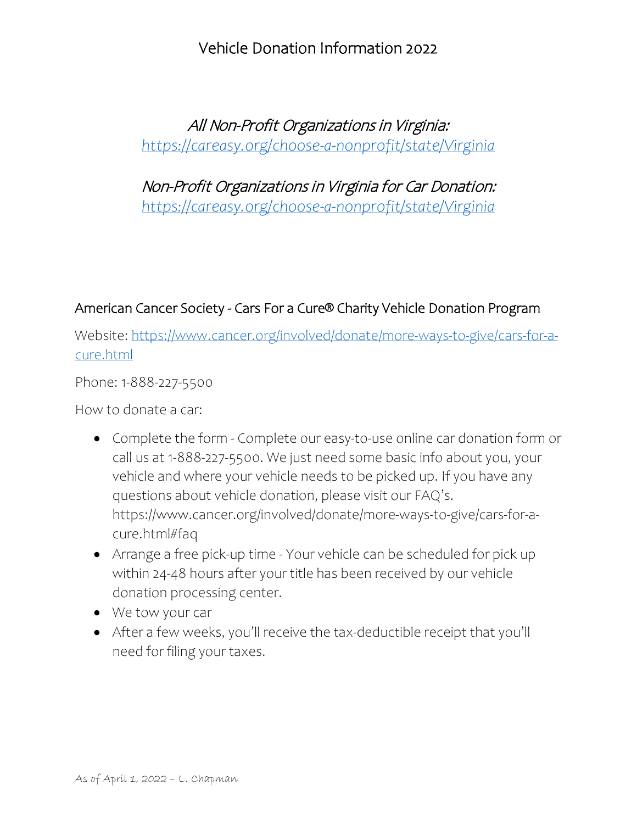### Vehicle Donation Information 2022

# All Non-Profit Organizations in Virginia: *<https://careasy.org/choose-a-nonprofit/state/Virginia>*

Non-Profit Organizations in Virginia for Car Donation: *<https://careasy.org/choose-a-nonprofit/state/Virginia>*

### American Cancer Society - Cars For a Cure® Charity Vehicle Donation Program

Website: [https://www.cancer.org/involved/donate/more-ways-to-give/cars-for-a](https://www.cancer.org/involved/donate/more-ways-to-give/cars-for-a-cure.html)[cure.html](https://www.cancer.org/involved/donate/more-ways-to-give/cars-for-a-cure.html)

Phone: 1-888-227-5500

How to donate a car:

- Complete the form Complete our easy-to-use online car donation form or call us at 1-888-227-5500. We just need some basic info about you, your vehicle and where your vehicle needs to be picked up. If you have any questions about vehicle donation, please visit our FAQ's. https://www.cancer.org/involved/donate/more-ways-to-give/cars-for-acure.html#faq
- Arrange a free pick-up time Your vehicle can be scheduled for pick up within 24-48 hours after your title has been received by our vehicle donation processing center.
- We tow your car
- After a few weeks, you'll receive the tax-deductible receipt that you'll need for filing your taxes.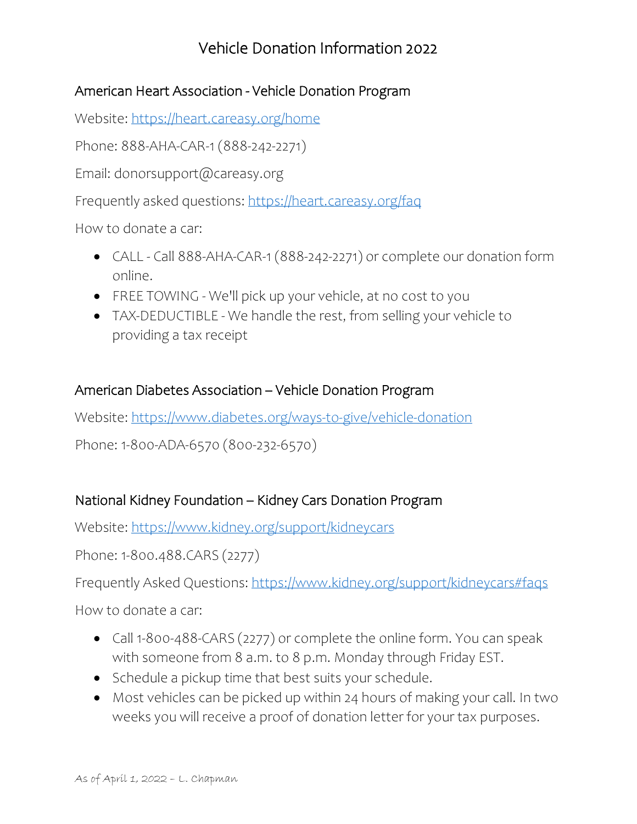# Vehicle Donation Information 2022

### American Heart Association - Vehicle Donation Program

Website:<https://heart.careasy.org/home>

Phone: 888-AHA-CAR-1 (888-242-2271)

Email: donorsupport@careasy.org

Frequently asked questions:<https://heart.careasy.org/faq>

How to donate a car:

- CALL Call 888-AHA-CAR-1 (888-242-2271) or complete our donation form online.
- FREE TOWING We'll pick up your vehicle, at no cost to you
- TAX-DEDUCTIBLE We handle the rest, from selling your vehicle to providing a tax receipt

### American Diabetes Association – Vehicle Donation Program

Website:<https://www.diabetes.org/ways-to-give/vehicle-donation>

Phone: 1-800-ADA-6570 (800-232-6570)

### National Kidney Foundation – Kidney Cars Donation Program

Website:<https://www.kidney.org/support/kidneycars>

Phone: 1-800.488.CARS (2277)

Frequently Asked Questions:<https://www.kidney.org/support/kidneycars#faqs>

How to donate a car:

- Call 1-800-488-CARS (2277) or complete the online form. You can speak with someone from 8 a.m. to 8 p.m. Monday through Friday EST.
- Schedule a pickup time that best suits your schedule.
- Most vehicles can be picked up within 24 hours of making your call. In two weeks you will receive a proof of donation letter for your tax purposes.